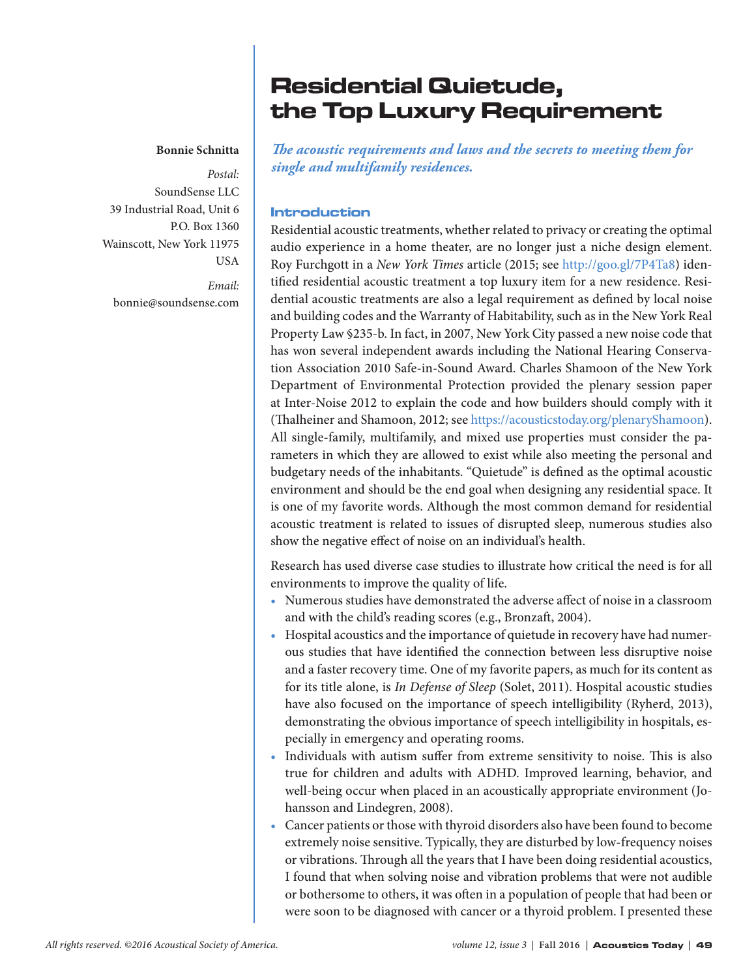# Residential Quietude, the Top Luxury Requirement

#### **Bonnie Schnitta**

*Postal:* SoundSense LLC 39 Industrial Road, Unit 6 P.O. Box 1360 Wainscott, New York 11975 USA

> *Email:* bonnie@soundsense.com

*The acoustic requirements and laws and the secrets to meeting them for single and multifamily residences.*

#### Introduction

Residential acoustic treatments, whether related to privacy or creating the optimal audio experience in a home theater, are no longer just a niche design element. Roy Furchgott in a *New York Times* article (2015; see http://goo.gl/7P4Ta8) identified residential acoustic treatment a top luxury item for a new residence. Residential acoustic treatments are also a legal requirement as defined by local noise and building codes and the Warranty of Habitability, such as in the New York Real Property Law §235-b. In fact, in 2007, New York City passed a new noise code that has won several independent awards including the National Hearing Conservation Association 2010 Safe-in-Sound Award. Charles Shamoon of the New York Department of Environmental Protection provided the plenary session paper at Inter-Noise 2012 to explain the code and how builders should comply with it (Thalheiner and Shamoon, 2012; see https://acousticstoday.org/plenaryShamoon). All single-family, multifamily, and mixed use properties must consider the parameters in which they are allowed to exist while also meeting the personal and budgetary needs of the inhabitants. "Quietude" is defined as the optimal acoustic environment and should be the end goal when designing any residential space. It is one of my favorite words. Although the most common demand for residential acoustic treatment is related to issues of disrupted sleep, numerous studies also show the negative effect of noise on an individual's health.

Research has used diverse case studies to illustrate how critical the need is for all environments to improve the quality of life.

- Numerous studies have demonstrated the adverse affect of noise in a classroom and with the child's reading scores (e.g., Bronzaft, 2004).
- Hospital acoustics and the importance of quietude in recovery have had numerous studies that have identified the connection between less disruptive noise and a faster recovery time. One of my favorite papers, as much for its content as for its title alone, is *In Defense of Sleep* (Solet, 2011). Hospital acoustic studies have also focused on the importance of speech intelligibility (Ryherd, 2013), demonstrating the obvious importance of speech intelligibility in hospitals, especially in emergency and operating rooms.
- Individuals with autism suffer from extreme sensitivity to noise. This is also true for children and adults with ADHD. Improved learning, behavior, and well-being occur when placed in an acoustically appropriate environment (Johansson and Lindegren, 2008).
- Cancer patients or those with thyroid disorders also have been found to become extremely noise sensitive. Typically, they are disturbed by low-frequency noises or vibrations. Through all the years that I have been doing residential acoustics, I found that when solving noise and vibration problems that were not audible or bothersome to others, it was often in a population of people that had been or were soon to be diagnosed with cancer or a thyroid problem. I presented these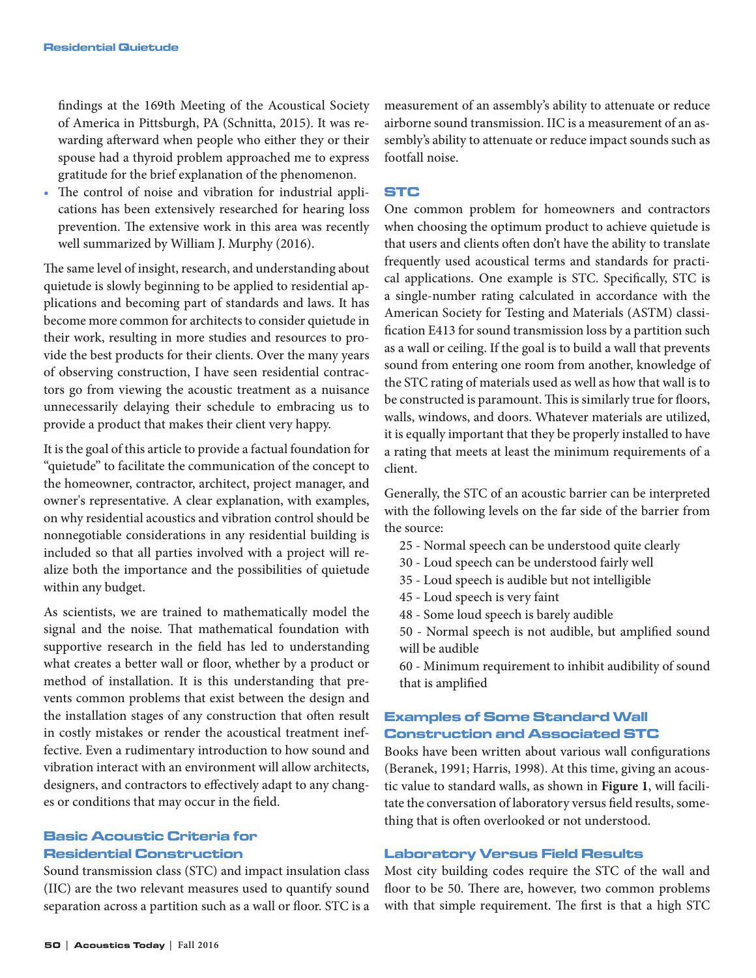findings at the 169th Meeting of the Acoustical Society of America in Pittsburgh, PA (Schnitta, 2015). It was rewarding afterward when people who either they or their spouse had a thyroid problem approached me to express gratitude for the brief explanation of the phenomenon.

The control of noise and vibration for industrial applications has been extensively researched for hearing loss prevention. The extensive work in this area was recently well summarized by William J. Murphy (2016).

The same level of insight, research, and understanding about quietude is slowly beginning to be applied to residential applications and becoming part of standards and laws. It has become more common for architects to consider quietude in their work, resulting in more studies and resources to provide the best products for their clients. Over the many years of observing construction, I have seen residential contractors go from viewing the acoustic treatment as a nuisance unnecessarily delaying their schedule to embracing us to provide a product that makes their client very happy.

It is the goal of this article to provide a factual foundation for "quietude" to facilitate the communication of the concept to the homeowner, contractor, architect, project manager, and owner's representative. A clear explanation, with examples, on why residential acoustics and vibration control should be nonnegotiable considerations in any residential building is included so that all parties involved with a project will realize both the importance and the possibilities of quietude within any budget.

As scientists, we are trained to mathematically model the signal and the noise. That mathematical foundation with supportive research in the field has led to understanding what creates a better wall or floor, whether by a product or method of installation. It is this understanding that prevents common problems that exist between the design and the installation stages of any construction that often result in costly mistakes or render the acoustical treatment ineffective. Even a rudimentary introduction to how sound and vibration interact with an environment will allow architects, designers, and contractors to effectively adapt to any changes or conditions that may occur in the field.

# Basic Acoustic Criteria for Residential Construction

Sound transmission class (STC) and impact insulation class (IIC) are the two relevant measures used to quantify sound separation across a partition such as a wall or floor. STC is a measurement of an assembly's ability to attenuate or reduce airborne sound transmission. IIC is a measurement of an assembly's ability to attenuate or reduce impact sounds such as footfall noise.

#### STC

One common problem for homeowners and contractors when choosing the optimum product to achieve quietude is that users and clients often don't have the ability to translate frequently used acoustical terms and standards for practical applications. One example is STC. Specifically, STC is a single-number rating calculated in accordance with the American Society for Testing and Materials (ASTM) classification E413 for sound transmission loss by a partition such as a wall or ceiling. If the goal is to build a wall that prevents sound from entering one room from another, knowledge of the STC rating of materials used as well as how that wall is to be constructed is paramount. This is similarly true for floors, walls, windows, and doors. Whatever materials are utilized, it is equally important that they be properly installed to have a rating that meets at least the minimum requirements of a client.

Generally, the STC of an acoustic barrier can be interpreted with the following levels on the far side of the barrier from the source:

- 25 Normal speech can be understood quite clearly
- 30 Loud speech can be understood fairly well
- 35 Loud speech is audible but not intelligible
- 45 Loud speech is very faint
- 48 Some loud speech is barely audible

 50 - Normal speech is not audible, but amplified sound will be audible

 60 - Minimum requirement to inhibit audibility of sound that is amplified

### Examples of Some Standard Wall Construction and Associated STC

Books have been written about various wall configurations (Beranek, 1991; Harris, 1998). At this time, giving an acoustic value to standard walls, as shown in **Figure 1**, will facilitate the conversation of laboratory versus field results, something that is often overlooked or not understood.

#### Laboratory Versus Field Results

Most city building codes require the STC of the wall and floor to be 50. There are, however, two common problems with that simple requirement. The first is that a high STC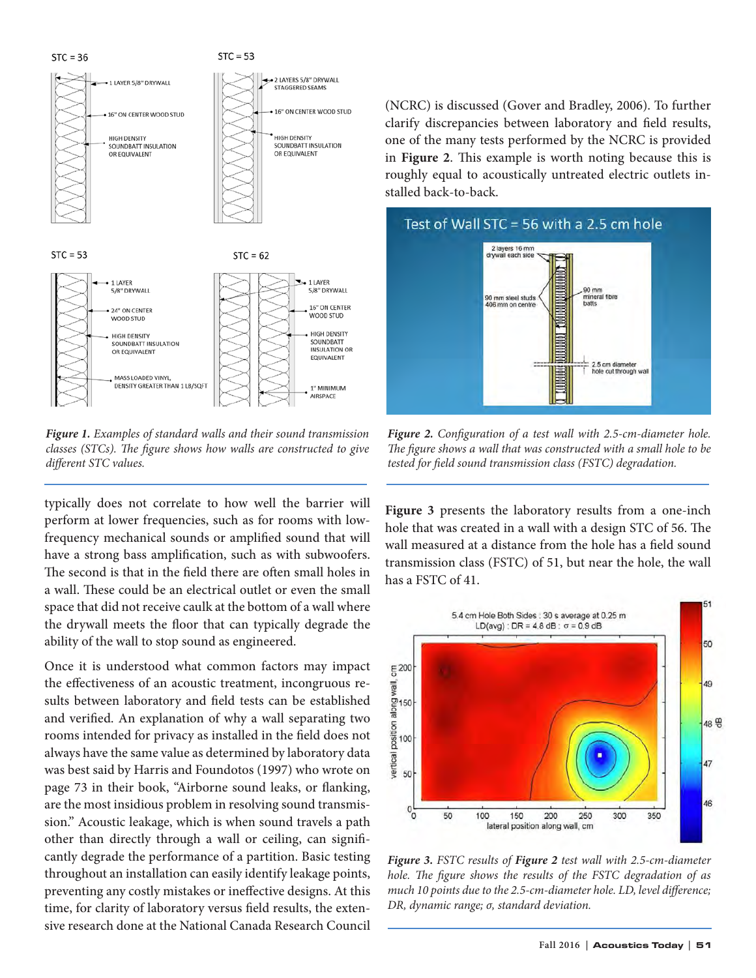$STC = 36$ 





*Figure 1. Examples of standard walls and their sound transmission classes (STCs). The figure shows how walls are constructed to give different STC values.*

typically does not correlate to how well the barrier will perform at lower frequencies, such as for rooms with lowfrequency mechanical sounds or amplified sound that will have a strong bass amplification, such as with subwoofers. The second is that in the field there are often small holes in a wall. These could be an electrical outlet or even the small space that did not receive caulk at the bottom of a wall where the drywall meets the floor that can typically degrade the ability of the wall to stop sound as engineered.

Once it is understood what common factors may impact the effectiveness of an acoustic treatment, incongruous results between laboratory and field tests can be established and verified. An explanation of why a wall separating two rooms intended for privacy as installed in the field does not always have the same value as determined by laboratory data was best said by Harris and Foundotos (1997) who wrote on page 73 in their book, "Airborne sound leaks, or flanking, are the most insidious problem in resolving sound transmission." Acoustic leakage, which is when sound travels a path other than directly through a wall or ceiling, can significantly degrade the performance of a partition. Basic testing throughout an installation can easily identify leakage points, preventing any costly mistakes or ineffective designs. At this time, for clarity of laboratory versus field results, the extensive research done at the National Canada Research Council

(NCRC) is discussed (Gover and Bradley, 2006). To further clarify discrepancies between laboratory and field results, one of the many tests performed by the NCRC is provided in **Figure 2**. This example is worth noting because this is roughly equal to acoustically untreated electric outlets installed back-to-back.



*Figure 2. Configuration of a test wall with 2.5-cm-diameter hole. The figure shows a wall that was constructed with a small hole to be tested for field sound transmission class (FSTC) degradation.*

**Figure 3** presents the laboratory results from a one-inch hole that was created in a wall with a design STC of 56. The wall measured at a distance from the hole has a field sound transmission class (FSTC) of 51, but near the hole, the wall has a FSTC of 41.



*Figure 3. FSTC results of Figure 2 test wall with 2.5-cm-diameter hole. The figure shows the results of the FSTC degradation of as much 10 points due to the 2.5-cm-diameter hole. LD, level difference; DR, dynamic range; σ, standard deviation.*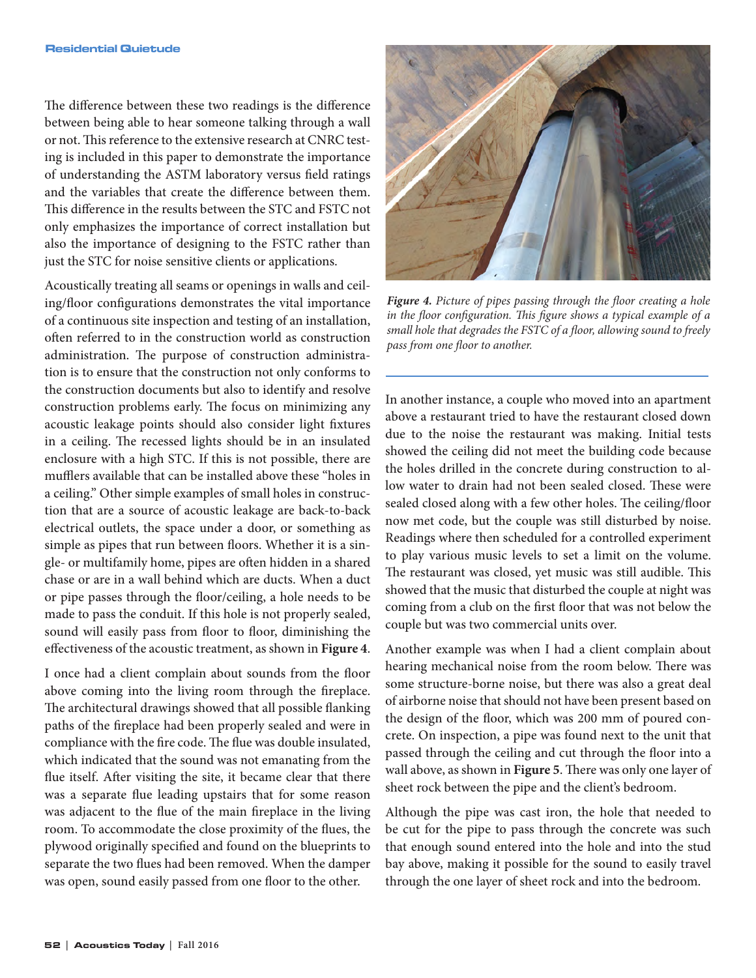The difference between these two readings is the difference between being able to hear someone talking through a wall or not. This reference to the extensive research at CNRC testing is included in this paper to demonstrate the importance of understanding the ASTM laboratory versus field ratings and the variables that create the difference between them. This difference in the results between the STC and FSTC not only emphasizes the importance of correct installation but also the importance of designing to the FSTC rather than just the STC for noise sensitive clients or applications.

Acoustically treating all seams or openings in walls and ceiling/floor configurations demonstrates the vital importance of a continuous site inspection and testing of an installation, often referred to in the construction world as construction administration. The purpose of construction administration is to ensure that the construction not only conforms to the construction documents but also to identify and resolve construction problems early. The focus on minimizing any acoustic leakage points should also consider light fixtures in a ceiling. The recessed lights should be in an insulated enclosure with a high STC. If this is not possible, there are mufflers available that can be installed above these "holes in a ceiling." Other simple examples of small holes in construction that are a source of acoustic leakage are back-to-back electrical outlets, the space under a door, or something as simple as pipes that run between floors. Whether it is a single- or multifamily home, pipes are often hidden in a shared chase or are in a wall behind which are ducts. When a duct or pipe passes through the floor/ceiling, a hole needs to be made to pass the conduit. If this hole is not properly sealed, sound will easily pass from floor to floor, diminishing the effectiveness of the acoustic treatment, as shown in **Figure 4**.

I once had a client complain about sounds from the floor above coming into the living room through the fireplace. The architectural drawings showed that all possible flanking paths of the fireplace had been properly sealed and were in compliance with the fire code. The flue was double insulated, which indicated that the sound was not emanating from the flue itself. After visiting the site, it became clear that there was a separate flue leading upstairs that for some reason was adjacent to the flue of the main fireplace in the living room. To accommodate the close proximity of the flues, the plywood originally specified and found on the blueprints to separate the two flues had been removed. When the damper was open, sound easily passed from one floor to the other.



*Figure 4. Picture of pipes passing through the floor creating a hole in the floor configuration. This figure shows a typical example of a small hole that degrades the FSTC of a floor, allowing sound to freely pass from one floor to another.*

In another instance, a couple who moved into an apartment above a restaurant tried to have the restaurant closed down due to the noise the restaurant was making. Initial tests showed the ceiling did not meet the building code because the holes drilled in the concrete during construction to allow water to drain had not been sealed closed. These were sealed closed along with a few other holes. The ceiling/floor now met code, but the couple was still disturbed by noise. Readings where then scheduled for a controlled experiment to play various music levels to set a limit on the volume. The restaurant was closed, yet music was still audible. This showed that the music that disturbed the couple at night was coming from a club on the first floor that was not below the couple but was two commercial units over.

Another example was when I had a client complain about hearing mechanical noise from the room below. There was some structure-borne noise, but there was also a great deal of airborne noise that should not have been present based on the design of the floor, which was 200 mm of poured concrete. On inspection, a pipe was found next to the unit that passed through the ceiling and cut through the floor into a wall above, as shown in **Figure 5**. There was only one layer of sheet rock between the pipe and the client's bedroom.

Although the pipe was cast iron, the hole that needed to be cut for the pipe to pass through the concrete was such that enough sound entered into the hole and into the stud bay above, making it possible for the sound to easily travel through the one layer of sheet rock and into the bedroom.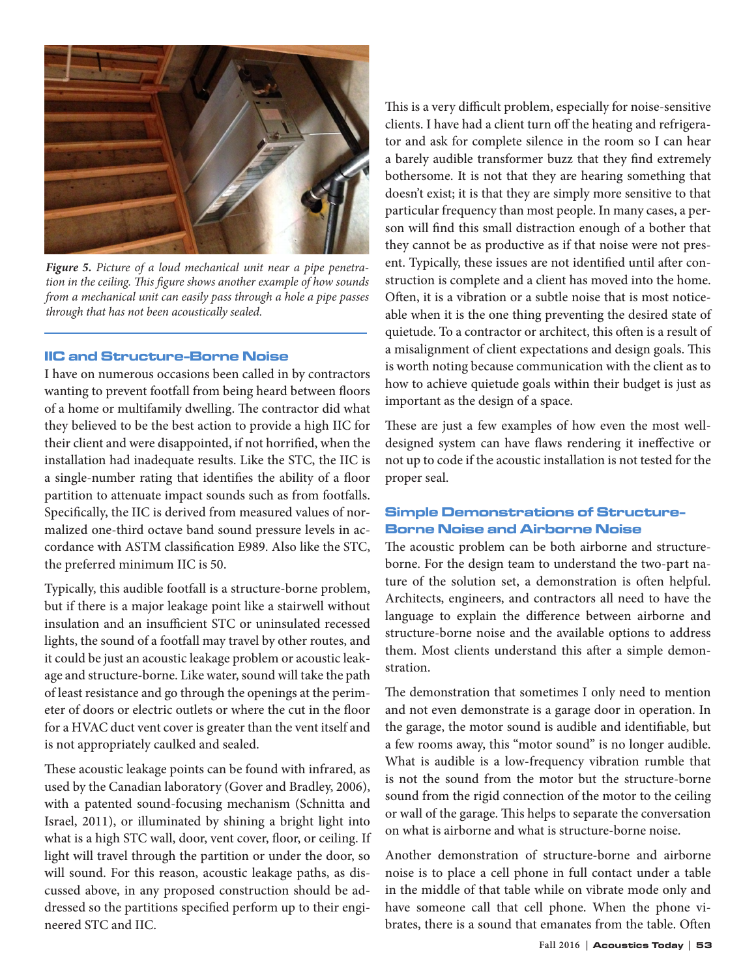

*Figure 5. Picture of a loud mechanical unit near a pipe penetration in the ceiling. This figure shows another example of how sounds from a mechanical unit can easily pass through a hole a pipe passes through that has not been acoustically sealed.*

# IIC and Structure-Borne Noise

I have on numerous occasions been called in by contractors wanting to prevent footfall from being heard between floors of a home or multifamily dwelling. The contractor did what they believed to be the best action to provide a high IIC for their client and were disappointed, if not horrified, when the installation had inadequate results. Like the STC, the IIC is a single-number rating that identifies the ability of a floor partition to attenuate impact sounds such as from footfalls. Specifically, the IIC is derived from measured values of normalized one-third octave band sound pressure levels in accordance with ASTM classification E989. Also like the STC, the preferred minimum IIC is 50.

Typically, this audible footfall is a structure-borne problem, but if there is a major leakage point like a stairwell without insulation and an insufficient STC or uninsulated recessed lights, the sound of a footfall may travel by other routes, and it could be just an acoustic leakage problem or acoustic leakage and structure-borne. Like water, sound will take the path of least resistance and go through the openings at the perimeter of doors or electric outlets or where the cut in the floor for a HVAC duct vent cover is greater than the vent itself and is not appropriately caulked and sealed.

These acoustic leakage points can be found with infrared, as used by the Canadian laboratory (Gover and Bradley, 2006), with a patented sound-focusing mechanism (Schnitta and Israel, 2011), or illuminated by shining a bright light into what is a high STC wall, door, vent cover, floor, or ceiling. If light will travel through the partition or under the door, so will sound. For this reason, acoustic leakage paths, as discussed above, in any proposed construction should be addressed so the partitions specified perform up to their engineered STC and IIC.

This is a very difficult problem, especially for noise-sensitive clients. I have had a client turn off the heating and refrigerator and ask for complete silence in the room so I can hear a barely audible transformer buzz that they find extremely bothersome. It is not that they are hearing something that doesn't exist; it is that they are simply more sensitive to that particular frequency than most people. In many cases, a person will find this small distraction enough of a bother that they cannot be as productive as if that noise were not present. Typically, these issues are not identified until after construction is complete and a client has moved into the home. Often, it is a vibration or a subtle noise that is most noticeable when it is the one thing preventing the desired state of quietude. To a contractor or architect, this often is a result of a misalignment of client expectations and design goals. This is worth noting because communication with the client as to how to achieve quietude goals within their budget is just as important as the design of a space.

These are just a few examples of how even the most welldesigned system can have flaws rendering it ineffective or not up to code if the acoustic installation is not tested for the proper seal.

## Simple Demonstrations of Structure-Borne Noise and Airborne Noise

The acoustic problem can be both airborne and structureborne. For the design team to understand the two-part nature of the solution set, a demonstration is often helpful. Architects, engineers, and contractors all need to have the language to explain the difference between airborne and structure-borne noise and the available options to address them. Most clients understand this after a simple demonstration.

The demonstration that sometimes I only need to mention and not even demonstrate is a garage door in operation. In the garage, the motor sound is audible and identifiable, but a few rooms away, this "motor sound" is no longer audible. What is audible is a low-frequency vibration rumble that is not the sound from the motor but the structure-borne sound from the rigid connection of the motor to the ceiling or wall of the garage. This helps to separate the conversation on what is airborne and what is structure-borne noise.

Another demonstration of structure-borne and airborne noise is to place a cell phone in full contact under a table in the middle of that table while on vibrate mode only and have someone call that cell phone. When the phone vibrates, there is a sound that emanates from the table. Often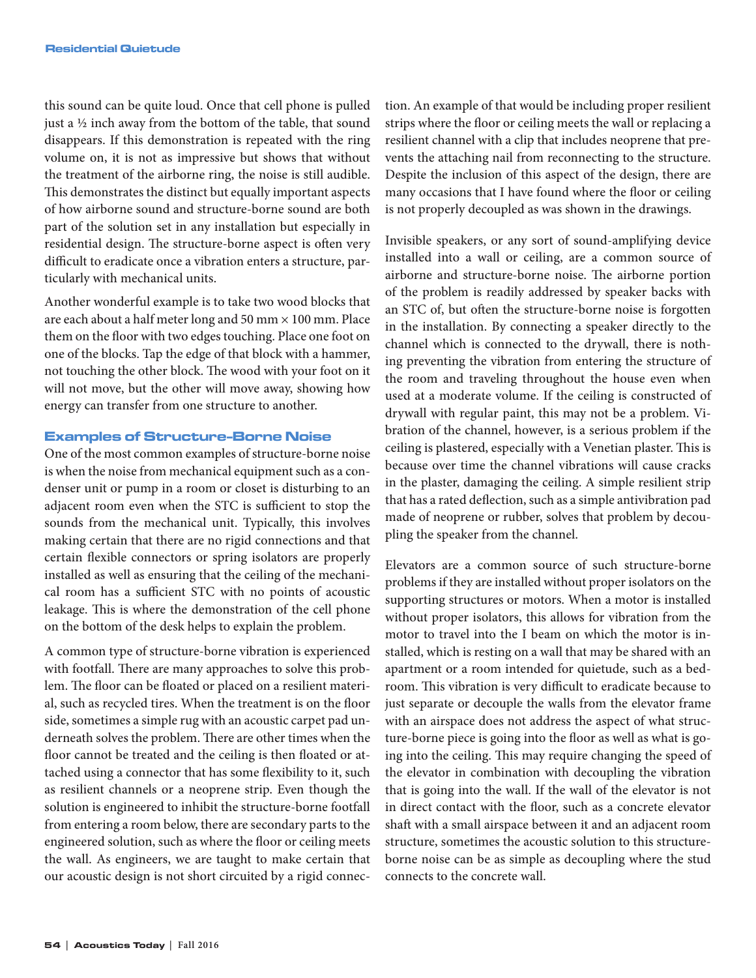this sound can be quite loud. Once that cell phone is pulled just a ½ inch away from the bottom of the table, that sound disappears. If this demonstration is repeated with the ring volume on, it is not as impressive but shows that without the treatment of the airborne ring, the noise is still audible. This demonstrates the distinct but equally important aspects of how airborne sound and structure-borne sound are both part of the solution set in any installation but especially in residential design. The structure-borne aspect is often very difficult to eradicate once a vibration enters a structure, particularly with mechanical units.

Another wonderful example is to take two wood blocks that are each about a half meter long and 50 mm  $\times$  100 mm. Place them on the floor with two edges touching. Place one foot on one of the blocks. Tap the edge of that block with a hammer, not touching the other block. The wood with your foot on it will not move, but the other will move away, showing how energy can transfer from one structure to another.

#### Examples of Structure-Borne Noise

One of the most common examples of structure-borne noise is when the noise from mechanical equipment such as a condenser unit or pump in a room or closet is disturbing to an adjacent room even when the STC is sufficient to stop the sounds from the mechanical unit. Typically, this involves making certain that there are no rigid connections and that certain flexible connectors or spring isolators are properly installed as well as ensuring that the ceiling of the mechanical room has a sufficient STC with no points of acoustic leakage. This is where the demonstration of the cell phone on the bottom of the desk helps to explain the problem.

A common type of structure-borne vibration is experienced with footfall. There are many approaches to solve this problem. The floor can be floated or placed on a resilient material, such as recycled tires. When the treatment is on the floor side, sometimes a simple rug with an acoustic carpet pad underneath solves the problem. There are other times when the floor cannot be treated and the ceiling is then floated or attached using a connector that has some flexibility to it, such as resilient channels or a neoprene strip. Even though the solution is engineered to inhibit the structure-borne footfall from entering a room below, there are secondary parts to the engineered solution, such as where the floor or ceiling meets the wall. As engineers, we are taught to make certain that our acoustic design is not short circuited by a rigid connection. An example of that would be including proper resilient strips where the floor or ceiling meets the wall or replacing a resilient channel with a clip that includes neoprene that prevents the attaching nail from reconnecting to the structure. Despite the inclusion of this aspect of the design, there are many occasions that I have found where the floor or ceiling is not properly decoupled as was shown in the drawings.

Invisible speakers, or any sort of sound-amplifying device installed into a wall or ceiling, are a common source of airborne and structure-borne noise. The airborne portion of the problem is readily addressed by speaker backs with an STC of, but often the structure-borne noise is forgotten in the installation. By connecting a speaker directly to the channel which is connected to the drywall, there is nothing preventing the vibration from entering the structure of the room and traveling throughout the house even when used at a moderate volume. If the ceiling is constructed of drywall with regular paint, this may not be a problem. Vibration of the channel, however, is a serious problem if the ceiling is plastered, especially with a Venetian plaster. This is because over time the channel vibrations will cause cracks in the plaster, damaging the ceiling. A simple resilient strip that has a rated deflection, such as a simple antivibration pad made of neoprene or rubber, solves that problem by decoupling the speaker from the channel.

Elevators are a common source of such structure-borne problems if they are installed without proper isolators on the supporting structures or motors. When a motor is installed without proper isolators, this allows for vibration from the motor to travel into the I beam on which the motor is installed, which is resting on a wall that may be shared with an apartment or a room intended for quietude, such as a bedroom. This vibration is very difficult to eradicate because to just separate or decouple the walls from the elevator frame with an airspace does not address the aspect of what structure-borne piece is going into the floor as well as what is going into the ceiling. This may require changing the speed of the elevator in combination with decoupling the vibration that is going into the wall. If the wall of the elevator is not in direct contact with the floor, such as a concrete elevator shaft with a small airspace between it and an adjacent room structure, sometimes the acoustic solution to this structureborne noise can be as simple as decoupling where the stud connects to the concrete wall.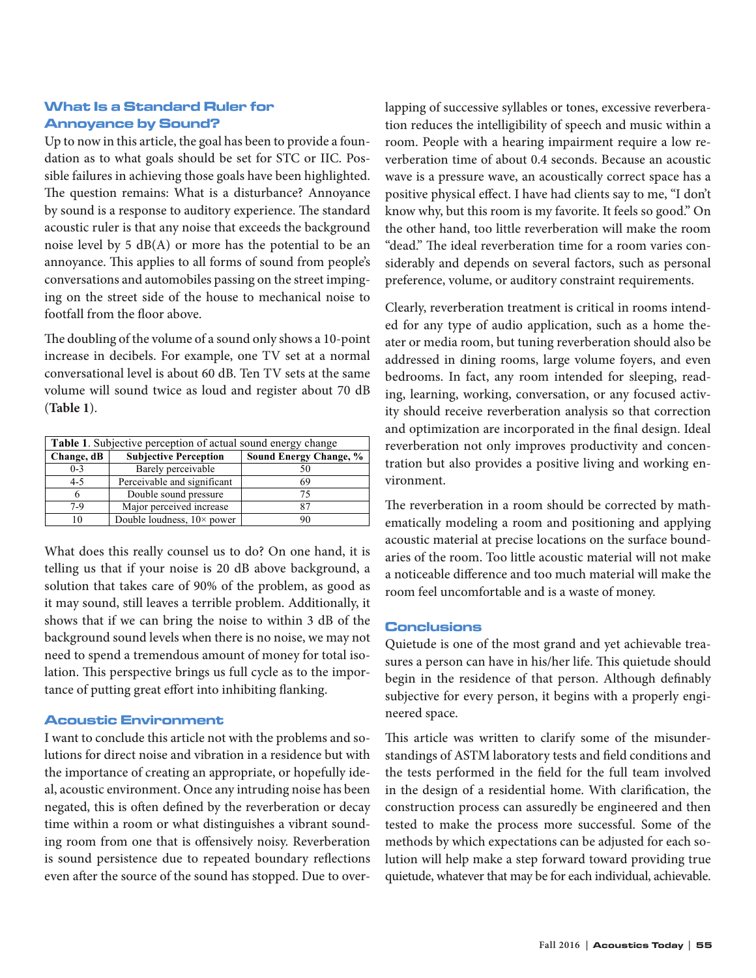# What Is a Standard Ruler for Annoyance by Sound?

Up to now in this article, the goal has been to provide a foundation as to what goals should be set for STC or IIC. Possible failures in achieving those goals have been highlighted. The question remains: What is a disturbance? Annoyance by sound is a response to auditory experience. The standard acoustic ruler is that any noise that exceeds the background noise level by 5 dB(A) or more has the potential to be an annoyance. This applies to all forms of sound from people's conversations and automobiles passing on the street impinging on the street side of the house to mechanical noise to footfall from the floor above.

The doubling of the volume of a sound only shows a 10-point increase in decibels. For example, one TV set at a normal conversational level is about 60 dB. Ten TV sets at the same volume will sound twice as loud and register about 70 dB (**Table 1**).

| Table 1. Subjective perception of actual sound energy change |                                    |                        |
|--------------------------------------------------------------|------------------------------------|------------------------|
| Change, dB                                                   | <b>Subjective Perception</b>       | Sound Energy Change, % |
| $0 - 3$                                                      | Barely perceivable                 |                        |
| $4 - 5$                                                      | Perceivable and significant        | 69                     |
|                                                              | Double sound pressure              | 75                     |
| 7-9                                                          | Major perceived increase           |                        |
|                                                              | Double loudness, $10 \times power$ |                        |

What does this really counsel us to do? On one hand, it is telling us that if your noise is 20 dB above background, a solution that takes care of 90% of the problem, as good as it may sound, still leaves a terrible problem. Additionally, it shows that if we can bring the noise to within 3 dB of the background sound levels when there is no noise, we may not need to spend a tremendous amount of money for total isolation. This perspective brings us full cycle as to the importance of putting great effort into inhibiting flanking.

#### Acoustic Environment

I want to conclude this article not with the problems and solutions for direct noise and vibration in a residence but with the importance of creating an appropriate, or hopefully ideal, acoustic environment. Once any intruding noise has been negated, this is often defined by the reverberation or decay time within a room or what distinguishes a vibrant sounding room from one that is offensively noisy. Reverberation is sound persistence due to repeated boundary reflections even after the source of the sound has stopped. Due to overlapping of successive syllables or tones, excessive reverberation reduces the intelligibility of speech and music within a room. People with a hearing impairment require a low reverberation time of about 0.4 seconds. Because an acoustic wave is a pressure wave, an acoustically correct space has a positive physical effect. I have had clients say to me, "I don't know why, but this room is my favorite. It feels so good." On the other hand, too little reverberation will make the room "dead." The ideal reverberation time for a room varies considerably and depends on several factors, such as personal preference, volume, or auditory constraint requirements.

Clearly, reverberation treatment is critical in rooms intended for any type of audio application, such as a home theater or media room, but tuning reverberation should also be addressed in dining rooms, large volume foyers, and even bedrooms. In fact, any room intended for sleeping, reading, learning, working, conversation, or any focused activity should receive reverberation analysis so that correction and optimization are incorporated in the final design. Ideal reverberation not only improves productivity and concentration but also provides a positive living and working environment.

The reverberation in a room should be corrected by mathematically modeling a room and positioning and applying acoustic material at precise locations on the surface boundaries of the room. Too little acoustic material will not make a noticeable difference and too much material will make the room feel uncomfortable and is a waste of money.

#### **Conclusions**

Quietude is one of the most grand and yet achievable treasures a person can have in his/her life. This quietude should begin in the residence of that person. Although definably subjective for every person, it begins with a properly engineered space.

This article was written to clarify some of the misunderstandings of ASTM laboratory tests and field conditions and the tests performed in the field for the full team involved in the design of a residential home. With clarification, the construction process can assuredly be engineered and then tested to make the process more successful. Some of the methods by which expectations can be adjusted for each solution will help make a step forward toward providing true quietude, whatever that may be for each individual, achievable.